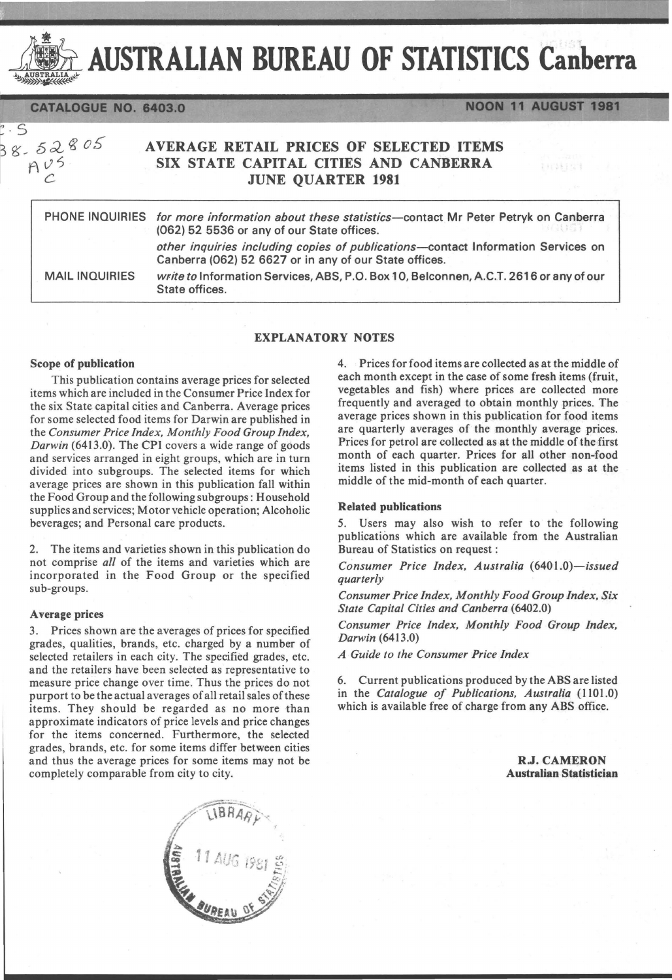

AUSTRALIAN BUREAU OF STATISTICS Canberra

CATALOGUE NO. 6403.0

 $8 - 52805$  $Av5$ 

S

# AVERAGE RETAIL PRICES OF SELECTED ITEMS SIX STATE CAPITAL CITIES AND CANBERRA JUNE QUARTER 1981

|                       | PHONE INQUIRIES for more information about these statistics-contact Mr Peter Petryk on Canberra<br>(062) 52 5536 or any of our State offices. |
|-----------------------|-----------------------------------------------------------------------------------------------------------------------------------------------|
|                       | other inquiries including copies of publications-contact Information Services on<br>Canberra (062) 52 6627 or in any of our State offices.    |
| <b>MAIL INQUIRIES</b> | write to Information Services, ABS, P.O. Box 10, Belconnen, A.C.T. 2616 or any of our<br>State offices.                                       |

# EXPLANATORY NOTES

## Scope of publication

This publication contains average prices for selected items which are included in the Consumer Price Index for the six State capital cities and Canberra. Average prices for some selected food items for Darwin are published in the *Consumer Price Index, Monthly Food Group Index, Darwin* (6413.0). The CPI covers a wide range of goods and services arranged in eight groups, which are in turn divided into subgroups. The selected items for which average prices are shown in this publication fall within the Food Group and the following subgroups: Household supplies and services; Motor vehicle operation; Alcoholic beverages; and Personal care products.

2. The items and varieties shown in this publication do not comprise *all* of the items and varieties which are incorporated in the Food Group or the specified sub-groups.

#### A verage prices

3. Prices shown are the averages of prices for specified grades, qualities, brands, etc. charged by a number of selected retailers in each city. The specified grades, etc. and the retailers have been selected as representative to measure price change over time. Thus the prices do not purport to be the actual averages of all retail sales of these items. They should be regarded as no more than approximate indicators of price levels and price changes for the items concerned. Furthermore, the selected grades, brands, etc. for some items differ between cities and thus the average prices for some items may not be completely comparable from city to city.



4. Prices for food items are collected as at the middle of each month except in the case of some fresh items (fruit, vegetables and fish) where prices are collected more frequently and averaged to obtain monthly prices. The average prices shown in this publication for food items are quarterly averages of the monthly average prices. Prices for petrol are collected as at the middle of the first month of each quarter. Prices for all other non-food items listed in this publication are collected as at the middle of the mid-month of each quarter.

**NOON 11 AUGUST 1981** 

科技科学

# Related publications

5. Users may also wish to refer to the following publications which are available from the Australian Bureau of Statistics on request:

*Consumer Price Index, Australia (6401.0)-issued quarterly* 

*Consumer Price Index, Monthly Food Group Index, Six State Capital Cities and Canberra (6402.0)* 

*Consumer Price Index, Monthly Food Group Index, Darwin (6413.0)* 

*A Guide to the Consumer Price Index* 

6. Current publications produced by the ABS are listed in the *Catalogue of Publications, Australia* (1101.0) which is available free of charge from any ABS office.

> R.J. CAMERON Australian Statistician